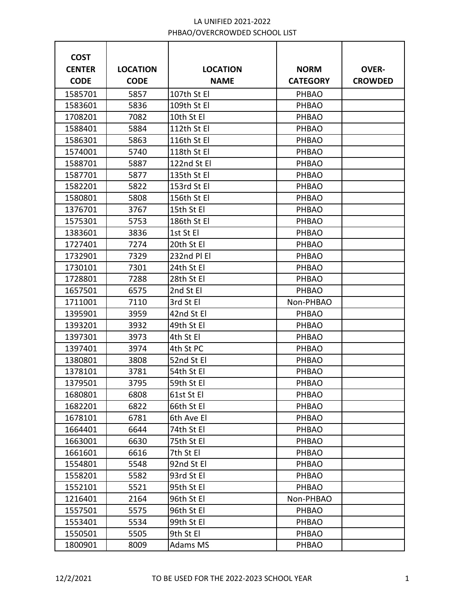| <b>COST</b>   |                 |                 |                 |                |
|---------------|-----------------|-----------------|-----------------|----------------|
| <b>CENTER</b> | <b>LOCATION</b> | <b>LOCATION</b> | <b>NORM</b>     | <b>OVER-</b>   |
| <b>CODE</b>   | <b>CODE</b>     | <b>NAME</b>     | <b>CATEGORY</b> | <b>CROWDED</b> |
| 1585701       | 5857            | 107th St El     | PHBAO           |                |
| 1583601       | 5836            | 109th St El     | PHBAO           |                |
| 1708201       | 7082            | 10th St El      | <b>PHBAO</b>    |                |
| 1588401       | 5884            | 112th St El     | PHBAO           |                |
| 1586301       | 5863            | 116th St El     | <b>PHBAO</b>    |                |
| 1574001       | 5740            | 118th St El     | <b>PHBAO</b>    |                |
| 1588701       | 5887            | 122nd St El     | <b>PHBAO</b>    |                |
| 1587701       | 5877            | 135th St El     | <b>PHBAO</b>    |                |
| 1582201       | 5822            | 153rd St El     | <b>PHBAO</b>    |                |
| 1580801       | 5808            | 156th St El     | PHBAO           |                |
| 1376701       | 3767            | 15th St El      | <b>PHBAO</b>    |                |
| 1575301       | 5753            | 186th St El     | PHBAO           |                |
| 1383601       | 3836            | 1st St El       | <b>PHBAO</b>    |                |
| 1727401       | 7274            | 20th St El      | PHBAO           |                |
| 1732901       | 7329            | 232nd PI EI     | <b>PHBAO</b>    |                |
| 1730101       | 7301            | 24th St El      | PHBAO           |                |
| 1728801       | 7288            | 28th St El      | <b>PHBAO</b>    |                |
| 1657501       | 6575            | 2nd St El       | <b>PHBAO</b>    |                |
| 1711001       | 7110            | 3rd St El       | Non-PHBAO       |                |
| 1395901       | 3959            | 42nd St El      | <b>PHBAO</b>    |                |
| 1393201       | 3932            | 49th St El      | <b>PHBAO</b>    |                |
| 1397301       | 3973            | 4th St El       | PHBAO           |                |
| 1397401       | 3974            | 4th St PC       | PHBAO           |                |
| 1380801       | 3808            | 52nd St El      | <b>PHBAO</b>    |                |
| 1378101       | 3781            | 54th St El      | <b>PHBAO</b>    |                |
| 1379501       | 3795            | 59th St El      | PHBAO           |                |
| 1680801       | 6808            | 61st St El      | PHBAO           |                |
| 1682201       | 6822            | 66th St El      | <b>PHBAO</b>    |                |
| 1678101       | 6781            | 6th Ave El      | PHBAO           |                |
| 1664401       | 6644            | 74th St El      | <b>PHBAO</b>    |                |
| 1663001       | 6630            | 75th St El      | PHBAO           |                |
| 1661601       | 6616            | 7th St El       | PHBAO           |                |
| 1554801       | 5548            | 92nd St El      | PHBAO           |                |
| 1558201       | 5582            | 93rd St El      | PHBAO           |                |
| 1552101       | 5521            | 95th St El      | PHBAO           |                |
| 1216401       | 2164            | 96th St El      | Non-PHBAO       |                |
| 1557501       | 5575            | 96th St El      | PHBAO           |                |
| 1553401       | 5534            | 99th St El      | PHBAO           |                |
| 1550501       | 5505            | 9th St El       | <b>PHBAO</b>    |                |
| 1800901       | 8009            | Adams MS        | PHBAO           |                |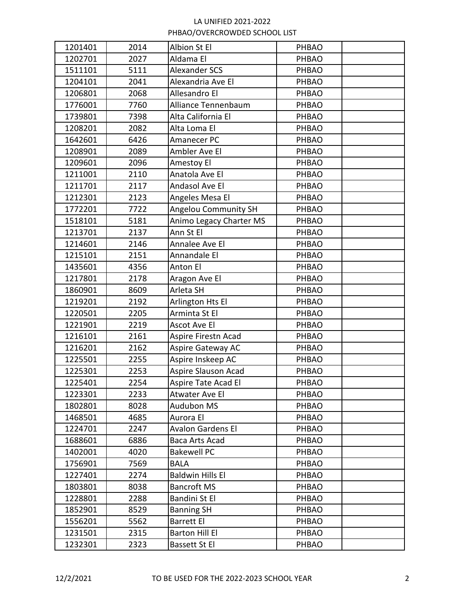| 1201401 | 2014 | Albion St El                | PHBAO        |  |
|---------|------|-----------------------------|--------------|--|
| 1202701 | 2027 | Aldama El                   | PHBAO        |  |
| 1511101 | 5111 | <b>Alexander SCS</b>        | PHBAO        |  |
| 1204101 | 2041 | Alexandria Ave El           | PHBAO        |  |
| 1206801 | 2068 | Allesandro El               | PHBAO        |  |
| 1776001 | 7760 | Alliance Tennenbaum         | PHBAO        |  |
| 1739801 | 7398 | Alta California El          | PHBAO        |  |
| 1208201 | 2082 | Alta Loma El                | PHBAO        |  |
| 1642601 | 6426 | Amanecer PC                 | PHBAO        |  |
| 1208901 | 2089 | Ambler Ave El               | PHBAO        |  |
| 1209601 | 2096 | Amestoy El                  | PHBAO        |  |
| 1211001 | 2110 | Anatola Ave El              | PHBAO        |  |
| 1211701 | 2117 | Andasol Ave El              | PHBAO        |  |
| 1212301 | 2123 | Angeles Mesa El             | PHBAO        |  |
| 1772201 | 7722 | <b>Angelou Community SH</b> | PHBAO        |  |
| 1518101 | 5181 | Animo Legacy Charter MS     | PHBAO        |  |
| 1213701 | 2137 | Ann St El                   | PHBAO        |  |
| 1214601 | 2146 | Annalee Ave El              | PHBAO        |  |
| 1215101 | 2151 | Annandale El                | PHBAO        |  |
| 1435601 | 4356 | Anton El                    | PHBAO        |  |
| 1217801 | 2178 | Aragon Ave El               | PHBAO        |  |
| 1860901 | 8609 | Arleta SH                   | PHBAO        |  |
| 1219201 | 2192 | Arlington Hts El            | PHBAO        |  |
| 1220501 | 2205 | Arminta St El               | <b>PHBAO</b> |  |
| 1221901 | 2219 | Ascot Ave El                | PHBAO        |  |
| 1216101 | 2161 | Aspire Firestn Acad         | PHBAO        |  |
| 1216201 | 2162 | Aspire Gateway AC           | PHBAO        |  |
| 1225501 | 2255 | Aspire Inskeep AC           | PHBAO        |  |
| 1225301 | 2253 | Aspire Slauson Acad         | PHBAO        |  |
| 1225401 | 2254 | Aspire Tate Acad El         | PHBAO        |  |
| 1223301 | 2233 | Atwater Ave El              | PHBAO        |  |
| 1802801 | 8028 | Audubon MS                  | <b>PHBAO</b> |  |
| 1468501 | 4685 | Aurora El                   | PHBAO        |  |
| 1224701 | 2247 | <b>Avalon Gardens El</b>    | <b>PHBAO</b> |  |
| 1688601 | 6886 | Baca Arts Acad              | PHBAO        |  |
| 1402001 | 4020 | <b>Bakewell PC</b>          | PHBAO        |  |
| 1756901 | 7569 | <b>BALA</b>                 | PHBAO        |  |
| 1227401 | 2274 | <b>Baldwin Hills El</b>     | <b>PHBAO</b> |  |
| 1803801 | 8038 | <b>Bancroft MS</b>          | PHBAO        |  |
| 1228801 | 2288 | Bandini St El               | PHBAO        |  |
| 1852901 | 8529 | <b>Banning SH</b>           | <b>PHBAO</b> |  |
| 1556201 | 5562 | <b>Barrett El</b>           | <b>PHBAO</b> |  |
| 1231501 | 2315 | <b>Barton Hill El</b>       | <b>PHBAO</b> |  |
| 1232301 | 2323 | Bassett St El               | PHBAO        |  |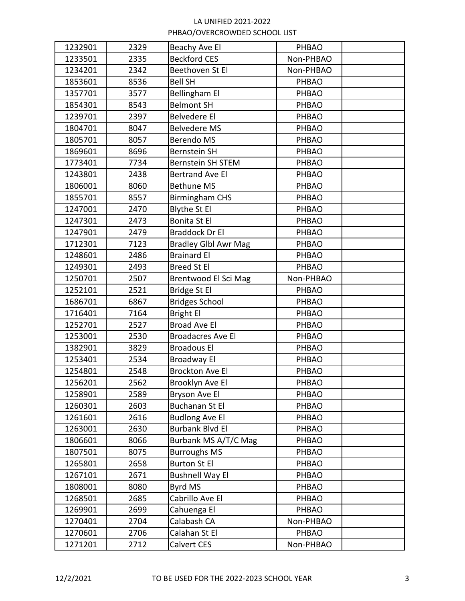| 1232901<br>2329<br>Beachy Ave El<br><b>PHBAO</b>            |  |
|-------------------------------------------------------------|--|
| 2335<br><b>Beckford CES</b><br>1233501<br>Non-PHBAO         |  |
| Beethoven St El<br>Non-PHBAO<br>1234201<br>2342             |  |
| 1853601<br>8536<br><b>Bell SH</b><br>PHBAO                  |  |
| <b>Bellingham El</b><br>1357701<br>3577<br>PHBAO            |  |
| 1854301<br><b>Belmont SH</b><br>8543<br>PHBAO               |  |
| <b>Belvedere El</b><br>1239701<br>2397<br>PHBAO             |  |
| 1804701<br>8047<br><b>Belvedere MS</b><br>PHBAO             |  |
| <b>Berendo MS</b><br>1805701<br>8057<br>PHBAO               |  |
| 1869601<br>8696<br><b>Bernstein SH</b><br>PHBAO             |  |
| 7734<br>Bernstein SH STEM<br>1773401<br>PHBAO               |  |
| <b>Bertrand Ave El</b><br>1243801<br>2438<br>PHBAO          |  |
| <b>Bethune MS</b><br>1806001<br>8060<br>PHBAO               |  |
| 1855701<br><b>Birmingham CHS</b><br>8557<br><b>PHBAO</b>    |  |
| 1247001<br><b>Blythe St El</b><br>2470<br>PHBAO             |  |
| Bonita St El<br>1247301<br>2473<br>PHBAO                    |  |
| <b>Braddock Dr El</b><br>1247901<br>2479<br>PHBAO           |  |
| 1712301<br>7123<br><b>Bradley Glbl Awr Mag</b><br>PHBAO     |  |
| <b>Brainard El</b><br>1248601<br>2486<br>PHBAO              |  |
| <b>Breed St El</b><br>1249301<br>2493<br>PHBAO              |  |
| 1250701<br>2507<br>Brentwood El Sci Mag<br>Non-PHBAO        |  |
| Bridge St El<br>1252101<br>2521<br>PHBAO                    |  |
| <b>Bridges School</b><br>1686701<br>6867<br>PHBAO           |  |
| <b>Bright El</b><br>1716401<br>7164<br>PHBAO                |  |
| <b>Broad Ave El</b><br>1252701<br>PHBAO<br>2527             |  |
| 1253001<br>2530<br><b>Broadacres Ave El</b><br><b>PHBAO</b> |  |
| 1382901<br><b>Broadous El</b><br>3829<br>PHBAO              |  |
| 1253401<br>2534<br>Broadway El<br>PHBAO                     |  |
| 1254801<br><b>Brockton Ave El</b><br>2548<br>PHBAO          |  |
| 2562<br>1256201<br>Brooklyn Ave El<br>PHBAO                 |  |
| Bryson Ave El<br>1258901<br>2589<br>PHBAO                   |  |
| <b>Buchanan St El</b><br>1260301<br>2603<br><b>PHBAO</b>    |  |
| <b>Budlong Ave El</b><br>1261601<br>2616<br>PHBAO           |  |
| <b>Burbank Blvd El</b><br>1263001<br>2630<br><b>PHBAO</b>   |  |
| 1806601<br>Burbank MS A/T/C Mag<br>8066<br>PHBAO            |  |
| 1807501<br><b>Burroughs MS</b><br>8075<br>PHBAO             |  |
| <b>Burton St El</b><br>1265801<br>2658<br>PHBAO             |  |
| <b>Bushnell Way El</b><br>1267101<br>2671<br>PHBAO          |  |
| 1808001<br>Byrd MS<br>8080<br>PHBAO                         |  |
| Cabrillo Ave El<br>1268501<br>2685<br>PHBAO                 |  |
| Cahuenga El<br>1269901<br>2699<br>PHBAO                     |  |
| Calabash CA<br>1270401<br>2704<br>Non-PHBAO                 |  |
| 1270601<br>2706<br>Calahan St El<br><b>PHBAO</b>            |  |
| Calvert CES<br>Non-PHBAO<br>1271201<br>2712                 |  |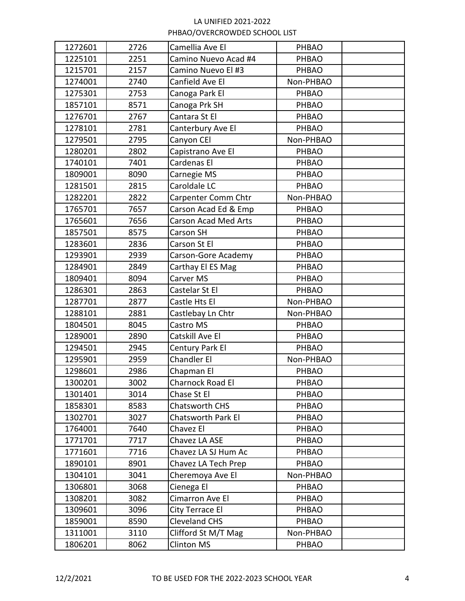| 1272601 | 2726 | Camellia Ave El           | PHBAO        |  |
|---------|------|---------------------------|--------------|--|
| 1225101 | 2251 | Camino Nuevo Acad #4      | <b>PHBAO</b> |  |
| 1215701 | 2157 | Camino Nuevo El #3        | PHBAO        |  |
| 1274001 | 2740 | Canfield Ave El           | Non-PHBAO    |  |
| 1275301 | 2753 | Canoga Park El            | PHBAO        |  |
| 1857101 | 8571 | Canoga Prk SH             | PHBAO        |  |
| 1276701 | 2767 | Cantara St El             | PHBAO        |  |
| 1278101 | 2781 | Canterbury Ave El         | PHBAO        |  |
| 1279501 | 2795 | Canyon CEI                | Non-PHBAO    |  |
| 1280201 | 2802 | Capistrano Ave El         | PHBAO        |  |
| 1740101 | 7401 | Cardenas El               | PHBAO        |  |
| 1809001 | 8090 | Carnegie MS               | PHBAO        |  |
| 1281501 | 2815 | Caroldale LC              | PHBAO        |  |
| 1282201 | 2822 | Carpenter Comm Chtr       | Non-PHBAO    |  |
| 1765701 | 7657 | Carson Acad Ed & Emp      | <b>PHBAO</b> |  |
| 1765601 | 7656 | Carson Acad Med Arts      | PHBAO        |  |
| 1857501 | 8575 | Carson SH                 | PHBAO        |  |
| 1283601 | 2836 | Carson St El              | PHBAO        |  |
| 1293901 | 2939 | Carson-Gore Academy       | PHBAO        |  |
| 1284901 | 2849 | Carthay El ES Mag         | PHBAO        |  |
| 1809401 | 8094 | Carver MS                 | PHBAO        |  |
| 1286301 | 2863 | Castelar St El            | <b>PHBAO</b> |  |
| 1287701 | 2877 | Castle Hts El             | Non-PHBAO    |  |
| 1288101 | 2881 | Castlebay Ln Chtr         | Non-PHBAO    |  |
| 1804501 | 8045 | Castro MS                 | PHBAO        |  |
| 1289001 | 2890 | Catskill Ave El           | PHBAO        |  |
| 1294501 | 2945 | Century Park El           | PHBAO        |  |
| 1295901 | 2959 | Chandler El               | Non-PHBAO    |  |
| 1298601 | 2986 | Chapman El                | PHBAO        |  |
| 1300201 | 3002 | Charnock Road El          | PHBAO        |  |
| 1301401 | 3014 | Chase St El               | PHBAO        |  |
| 1858301 | 8583 | <b>Chatsworth CHS</b>     | <b>PHBAO</b> |  |
| 1302701 | 3027 | <b>Chatsworth Park El</b> | PHBAO        |  |
| 1764001 | 7640 | Chavez El                 | <b>PHBAO</b> |  |
| 1771701 | 7717 | Chavez LA ASE             | PHBAO        |  |
| 1771601 | 7716 | Chavez LA SJ Hum Ac       | <b>PHBAO</b> |  |
| 1890101 | 8901 | Chavez LA Tech Prep       | PHBAO        |  |
| 1304101 | 3041 | Cheremoya Ave El          | Non-PHBAO    |  |
| 1306801 | 3068 | Cienega El                | PHBAO        |  |
| 1308201 | 3082 | Cimarron Ave El           | PHBAO        |  |
| 1309601 | 3096 | City Terrace El           | <b>PHBAO</b> |  |
| 1859001 | 8590 | <b>Cleveland CHS</b>      | PHBAO        |  |
| 1311001 | 3110 | Clifford St M/T Mag       | Non-PHBAO    |  |
| 1806201 | 8062 | <b>Clinton MS</b>         | PHBAO        |  |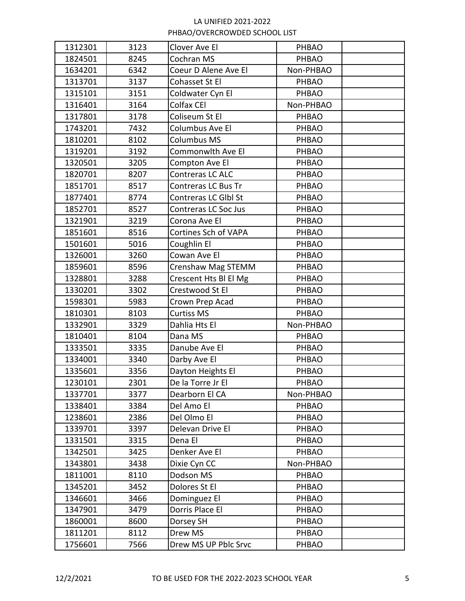| 1312301 | 3123 | Clover Ave El         | PHBAO        |  |
|---------|------|-----------------------|--------------|--|
| 1824501 | 8245 | Cochran MS            | PHBAO        |  |
| 1634201 | 6342 | Coeur D Alene Ave El  | Non-PHBAO    |  |
| 1313701 | 3137 | Cohasset St El        | PHBAO        |  |
| 1315101 | 3151 | Coldwater Cyn El      | PHBAO        |  |
| 1316401 | 3164 | Colfax CEI            | Non-PHBAO    |  |
| 1317801 | 3178 | Coliseum St El        | PHBAO        |  |
| 1743201 | 7432 | Columbus Ave El       | PHBAO        |  |
| 1810201 | 8102 | Columbus MS           | PHBAO        |  |
| 1319201 | 3192 | Commonwlth Ave El     | PHBAO        |  |
| 1320501 | 3205 | Compton Ave El        | PHBAO        |  |
| 1820701 | 8207 | Contreras LC ALC      | PHBAO        |  |
| 1851701 | 8517 | Contreras LC Bus Tr   | PHBAO        |  |
| 1877401 | 8774 | Contreras LC Glbl St  | PHBAO        |  |
| 1852701 | 8527 | Contreras LC Soc Jus  | PHBAO        |  |
| 1321901 | 3219 | Corona Ave El         | PHBAO        |  |
| 1851601 | 8516 | Cortines Sch of VAPA  | PHBAO        |  |
| 1501601 | 5016 | Coughlin El           | PHBAO        |  |
| 1326001 | 3260 | Cowan Ave El          | PHBAO        |  |
| 1859601 | 8596 | Crenshaw Mag STEMM    | PHBAO        |  |
| 1328801 | 3288 | Crescent Hts Bl El Mg | PHBAO        |  |
| 1330201 | 3302 | Crestwood St El       | PHBAO        |  |
| 1598301 | 5983 | Crown Prep Acad       | PHBAO        |  |
| 1810301 | 8103 | Curtiss MS            | <b>PHBAO</b> |  |
| 1332901 | 3329 | Dahlia Hts El         | Non-PHBAO    |  |
| 1810401 | 8104 | Dana MS               | PHBAO        |  |
| 1333501 | 3335 | Danube Ave El         | PHBAO        |  |
| 1334001 | 3340 | Darby Ave El          | PHBAO        |  |
| 1335601 | 3356 | Dayton Heights El     | PHBAO        |  |
| 1230101 | 2301 | De la Torre Jr El     | PHBAO        |  |
| 1337701 | 3377 | Dearborn El CA        | Non-PHBAO    |  |
| 1338401 | 3384 | Del Amo El            | PHBAO        |  |
| 1238601 | 2386 | Del Olmo El           | PHBAO        |  |
| 1339701 | 3397 | Delevan Drive El      | PHBAO        |  |
| 1331501 | 3315 | Dena El               | PHBAO        |  |
| 1342501 | 3425 | Denker Ave El         | <b>PHBAO</b> |  |
| 1343801 | 3438 | Dixie Cyn CC          | Non-PHBAO    |  |
| 1811001 | 8110 | Dodson MS             | PHBAO        |  |
| 1345201 | 3452 | Dolores St El         | PHBAO        |  |
| 1346601 | 3466 | Dominguez El          | PHBAO        |  |
| 1347901 | 3479 | Dorris Place El       | PHBAO        |  |
| 1860001 | 8600 | Dorsey SH             | <b>PHBAO</b> |  |
| 1811201 | 8112 | Drew MS               | <b>PHBAO</b> |  |
| 1756601 | 7566 | Drew MS UP Pblc Srvc  | PHBAO        |  |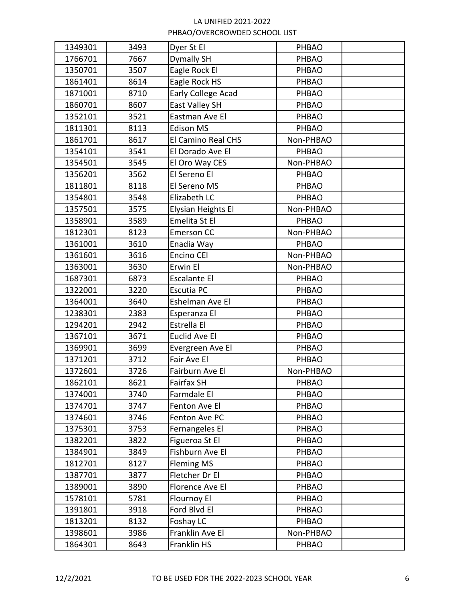| 1349301 | 3493 | Dyer St El          | PHBAO        |  |
|---------|------|---------------------|--------------|--|
| 1766701 | 7667 | <b>Dymally SH</b>   | <b>PHBAO</b> |  |
| 1350701 | 3507 | Eagle Rock El       | PHBAO        |  |
| 1861401 | 8614 | Eagle Rock HS       | PHBAO        |  |
| 1871001 | 8710 | Early College Acad  | PHBAO        |  |
| 1860701 | 8607 | East Valley SH      | PHBAO        |  |
| 1352101 | 3521 | Eastman Ave El      | PHBAO        |  |
| 1811301 | 8113 | <b>Edison MS</b>    | PHBAO        |  |
| 1861701 | 8617 | El Camino Real CHS  | Non-PHBAO    |  |
| 1354101 | 3541 | El Dorado Ave El    | PHBAO        |  |
| 1354501 | 3545 | El Oro Way CES      | Non-PHBAO    |  |
| 1356201 | 3562 | El Sereno El        | PHBAO        |  |
| 1811801 | 8118 | El Sereno MS        | <b>PHBAO</b> |  |
| 1354801 | 3548 | Elizabeth LC        | <b>PHBAO</b> |  |
| 1357501 | 3575 | Elysian Heights El  | Non-PHBAO    |  |
| 1358901 | 3589 | Emelita St El       | PHBAO        |  |
| 1812301 | 8123 | Emerson CC          | Non-PHBAO    |  |
| 1361001 | 3610 | Enadia Way          | PHBAO        |  |
| 1361601 | 3616 | Encino CEI          | Non-PHBAO    |  |
| 1363001 | 3630 | Erwin El            | Non-PHBAO    |  |
| 1687301 | 6873 | <b>Escalante El</b> | PHBAO        |  |
| 1322001 | 3220 | Escutia PC          | PHBAO        |  |
| 1364001 | 3640 | Eshelman Ave El     | PHBAO        |  |
| 1238301 | 2383 | Esperanza El        | PHBAO        |  |
| 1294201 | 2942 | Estrella El         | PHBAO        |  |
| 1367101 | 3671 | Euclid Ave El       | <b>PHBAO</b> |  |
| 1369901 | 3699 | Evergreen Ave El    | PHBAO        |  |
| 1371201 | 3712 | Fair Ave El         | PHBAO        |  |
| 1372601 | 3726 | Fairburn Ave El     | Non-PHBAO    |  |
| 1862101 | 8621 | Fairfax SH          | PHBAO        |  |
| 1374001 | 3740 | Farmdale El         | <b>PHBAO</b> |  |
| 1374701 | 3747 | Fenton Ave El       | PHBAO        |  |
| 1374601 | 3746 | Fenton Ave PC       | <b>PHBAO</b> |  |
| 1375301 | 3753 | Fernangeles El      | PHBAO        |  |
| 1382201 | 3822 | Figueroa St El      | PHBAO        |  |
| 1384901 | 3849 | Fishburn Ave El     | PHBAO        |  |
| 1812701 | 8127 | <b>Fleming MS</b>   | PHBAO        |  |
| 1387701 | 3877 | Fletcher Dr El      | PHBAO        |  |
| 1389001 | 3890 | Florence Ave El     | PHBAO        |  |
| 1578101 | 5781 | Flournoy El         | PHBAO        |  |
| 1391801 | 3918 | Ford Blvd El        | PHBAO        |  |
| 1813201 | 8132 | Foshay LC           | PHBAO        |  |
| 1398601 | 3986 | Franklin Ave El     | Non-PHBAO    |  |
| 1864301 | 8643 | Franklin HS         | PHBAO        |  |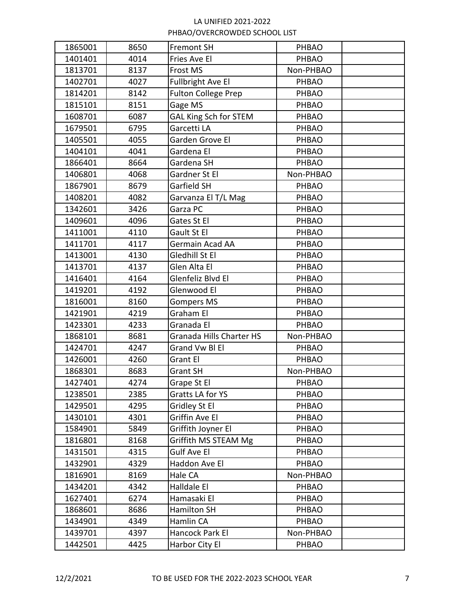| 1865001 | 8650 | Fremont SH                   | PHBAO        |  |
|---------|------|------------------------------|--------------|--|
| 1401401 | 4014 | Fries Ave El                 | <b>PHBAO</b> |  |
| 1813701 | 8137 | Frost MS                     | Non-PHBAO    |  |
| 1402701 | 4027 | <b>Fullbright Ave El</b>     | PHBAO        |  |
| 1814201 | 8142 | <b>Fulton College Prep</b>   | PHBAO        |  |
| 1815101 | 8151 | Gage MS                      | PHBAO        |  |
| 1608701 | 6087 | <b>GAL King Sch for STEM</b> | PHBAO        |  |
| 1679501 | 6795 | Garcetti LA                  | PHBAO        |  |
| 1405501 | 4055 | Garden Grove El              | PHBAO        |  |
| 1404101 | 4041 | Gardena El                   | PHBAO        |  |
| 1866401 | 8664 | Gardena SH                   | <b>PHBAO</b> |  |
| 1406801 | 4068 | Gardner St El                | Non-PHBAO    |  |
| 1867901 | 8679 | Garfield SH                  | PHBAO        |  |
| 1408201 | 4082 | Garvanza El T/L Mag          | PHBAO        |  |
| 1342601 | 3426 | Garza PC                     | PHBAO        |  |
| 1409601 | 4096 | Gates St El                  | PHBAO        |  |
| 1411001 | 4110 | Gault St El                  | PHBAO        |  |
| 1411701 | 4117 | Germain Acad AA              | PHBAO        |  |
| 1413001 | 4130 | Gledhill St El               | PHBAO        |  |
| 1413701 | 4137 | Glen Alta El                 | PHBAO        |  |
| 1416401 | 4164 | Glenfeliz Blvd El            | PHBAO        |  |
| 1419201 | 4192 | Glenwood El                  | PHBAO        |  |
| 1816001 | 8160 | <b>Gompers MS</b>            | PHBAO        |  |
| 1421901 | 4219 | Graham El                    | PHBAO        |  |
| 1423301 | 4233 | Granada El                   | PHBAO        |  |
| 1868101 | 8681 | Granada Hills Charter HS     | Non-PHBAO    |  |
| 1424701 | 4247 | Grand Vw Bl El               | PHBAO        |  |
| 1426001 | 4260 | <b>Grant El</b>              | PHBAO        |  |
| 1868301 | 8683 | <b>Grant SH</b>              | Non-PHBAO    |  |
| 1427401 | 4274 | Grape St El                  | PHBAO        |  |
| 1238501 | 2385 | Gratts LA for YS             | PHBAO        |  |
| 1429501 | 4295 | Gridley St El                | <b>PHBAO</b> |  |
| 1430101 | 4301 | Griffin Ave El               | PHBAO        |  |
| 1584901 | 5849 | Griffith Joyner El           | PHBAO        |  |
| 1816801 | 8168 | Griffith MS STEAM Mg         | PHBAO        |  |
| 1431501 | 4315 | Gulf Ave El                  | <b>PHBAO</b> |  |
| 1432901 | 4329 | Haddon Ave El                | <b>PHBAO</b> |  |
| 1816901 | 8169 | Hale CA                      | Non-PHBAO    |  |
| 1434201 | 4342 | Halldale El                  | PHBAO        |  |
| 1627401 | 6274 | Hamasaki El                  | <b>PHBAO</b> |  |
| 1868601 | 8686 | Hamilton SH                  | PHBAO        |  |
| 1434901 | 4349 | Hamlin CA                    | PHBAO        |  |
| 1439701 | 4397 | Hancock Park El              | Non-PHBAO    |  |
| 1442501 | 4425 | Harbor City El               | PHBAO        |  |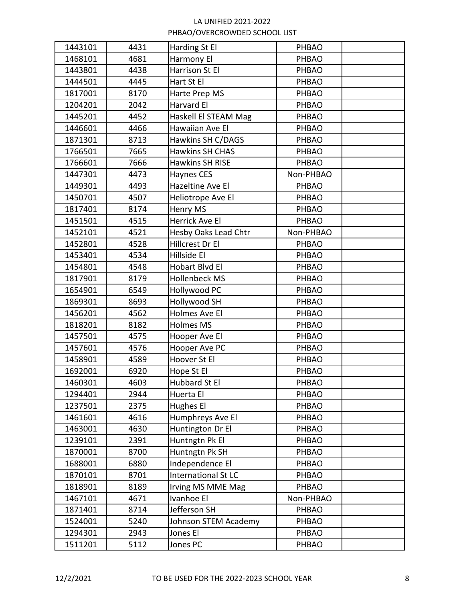| 1443101 | 4431 | Harding St El              | <b>PHBAO</b> |  |
|---------|------|----------------------------|--------------|--|
| 1468101 | 4681 | Harmony El                 | PHBAO        |  |
| 1443801 | 4438 | Harrison St El             | PHBAO        |  |
| 1444501 | 4445 | Hart St El                 | PHBAO        |  |
| 1817001 | 8170 | Harte Prep MS              | PHBAO        |  |
| 1204201 | 2042 | Harvard El                 | PHBAO        |  |
| 1445201 | 4452 | Haskell El STEAM Mag       | PHBAO        |  |
| 1446601 | 4466 | Hawaiian Ave El            | PHBAO        |  |
| 1871301 | 8713 | Hawkins SH C/DAGS          | <b>PHBAO</b> |  |
| 1766501 | 7665 | <b>Hawkins SH CHAS</b>     | <b>PHBAO</b> |  |
| 1766601 | 7666 | <b>Hawkins SH RISE</b>     | <b>PHBAO</b> |  |
| 1447301 | 4473 | <b>Haynes CES</b>          | Non-PHBAO    |  |
| 1449301 | 4493 | Hazeltine Ave El           | PHBAO        |  |
| 1450701 | 4507 | Heliotrope Ave El          | PHBAO        |  |
| 1817401 | 8174 | Henry MS                   | PHBAO        |  |
| 1451501 | 4515 | Herrick Ave El             | PHBAO        |  |
| 1452101 | 4521 | Hesby Oaks Lead Chtr       | Non-PHBAO    |  |
| 1452801 | 4528 | Hillcrest Dr El            | PHBAO        |  |
| 1453401 | 4534 | Hillside El                | PHBAO        |  |
| 1454801 | 4548 | Hobart Blvd El             | PHBAO        |  |
| 1817901 | 8179 | <b>Hollenbeck MS</b>       | PHBAO        |  |
| 1654901 | 6549 | Hollywood PC               | PHBAO        |  |
| 1869301 | 8693 | <b>Hollywood SH</b>        | PHBAO        |  |
| 1456201 | 4562 | Holmes Ave El              | PHBAO        |  |
| 1818201 | 8182 | <b>Holmes MS</b>           | PHBAO        |  |
| 1457501 | 4575 | Hooper Ave El              | PHBAO        |  |
| 1457601 | 4576 | Hooper Ave PC              | PHBAO        |  |
| 1458901 | 4589 | Hoover St El               | <b>PHBAO</b> |  |
| 1692001 | 6920 | Hope St El                 | PHBAO        |  |
| 1460301 | 4603 | Hubbard St El              | PHBAO        |  |
| 1294401 | 2944 | Huerta El                  | PHBAO        |  |
| 1237501 | 2375 | Hughes El                  | PHBAO        |  |
| 1461601 | 4616 | Humphreys Ave El           | PHBAO        |  |
| 1463001 | 4630 | Huntington Dr El           | PHBAO        |  |
| 1239101 | 2391 | Huntngtn Pk El             | PHBAO        |  |
| 1870001 | 8700 | Huntngtn Pk SH             | PHBAO        |  |
| 1688001 | 6880 | Independence El            | <b>PHBAO</b> |  |
| 1870101 | 8701 | <b>International St LC</b> | <b>PHBAO</b> |  |
| 1818901 | 8189 | Irving MS MME Mag          | PHBAO        |  |
| 1467101 | 4671 | Ivanhoe El                 | Non-PHBAO    |  |
| 1871401 | 8714 | Jefferson SH               | PHBAO        |  |
| 1524001 | 5240 | Johnson STEM Academy       | PHBAO        |  |
| 1294301 | 2943 | Jones El                   | PHBAO        |  |
| 1511201 | 5112 | Jones PC                   | PHBAO        |  |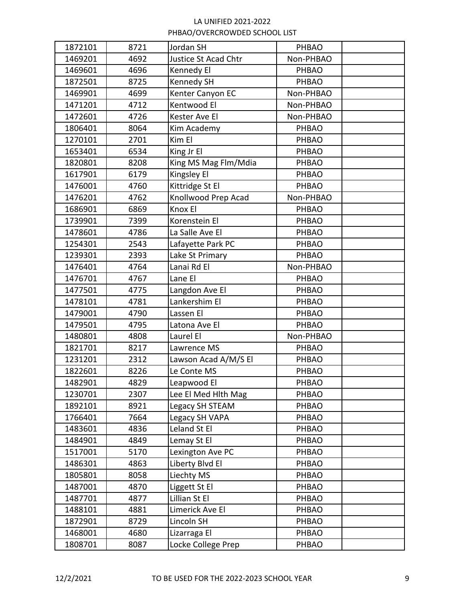| 1872101 | 8721 | Jordan SH            | PHBAO        |  |
|---------|------|----------------------|--------------|--|
| 1469201 | 4692 | Justice St Acad Chtr | Non-PHBAO    |  |
| 1469601 | 4696 | Kennedy El           | PHBAO        |  |
| 1872501 | 8725 | Kennedy SH           | PHBAO        |  |
| 1469901 | 4699 | Kenter Canyon EC     | Non-PHBAO    |  |
| 1471201 | 4712 | Kentwood El          | Non-PHBAO    |  |
| 1472601 | 4726 | Kester Ave El        | Non-PHBAO    |  |
| 1806401 | 8064 | Kim Academy          | <b>PHBAO</b> |  |
| 1270101 | 2701 | Kim El               | <b>PHBAO</b> |  |
| 1653401 | 6534 | King Jr El           | <b>PHBAO</b> |  |
| 1820801 | 8208 | King MS Mag Flm/Mdia | <b>PHBAO</b> |  |
| 1617901 | 6179 | Kingsley El          | PHBAO        |  |
| 1476001 | 4760 | Kittridge St El      | PHBAO        |  |
| 1476201 | 4762 | Knollwood Prep Acad  | Non-PHBAO    |  |
| 1686901 | 6869 | Knox El              | PHBAO        |  |
| 1739901 | 7399 | Korenstein El        | PHBAO        |  |
| 1478601 | 4786 | La Salle Ave El      | PHBAO        |  |
| 1254301 | 2543 | Lafayette Park PC    | PHBAO        |  |
| 1239301 | 2393 | Lake St Primary      | <b>PHBAO</b> |  |
| 1476401 | 4764 | Lanai Rd El          | Non-PHBAO    |  |
| 1476701 | 4767 | Lane El              | PHBAO        |  |
| 1477501 | 4775 | Langdon Ave El       | PHBAO        |  |
| 1478101 | 4781 | Lankershim El        | PHBAO        |  |
| 1479001 | 4790 | Lassen El            | <b>PHBAO</b> |  |
| 1479501 | 4795 | Latona Ave El        | PHBAO        |  |
| 1480801 | 4808 | Laurel El            | Non-PHBAO    |  |
| 1821701 | 8217 | Lawrence MS          | PHBAO        |  |
| 1231201 | 2312 | Lawson Acad A/M/S El | PHBAO        |  |
| 1822601 | 8226 | Le Conte MS          | PHBAO        |  |
| 1482901 | 4829 | Leapwood El          | PHBAO        |  |
| 1230701 | 2307 | Lee El Med Hith Mag  | PHBAO        |  |
| 1892101 | 8921 | Legacy SH STEAM      | PHBAO        |  |
| 1766401 | 7664 | Legacy SH VAPA       | PHBAO        |  |
| 1483601 | 4836 | Leland St El         | PHBAO        |  |
| 1484901 | 4849 | Lemay St El          | PHBAO        |  |
| 1517001 | 5170 | Lexington Ave PC     | PHBAO        |  |
| 1486301 | 4863 | Liberty Blvd El      | PHBAO        |  |
| 1805801 | 8058 | Liechty MS           | PHBAO        |  |
| 1487001 | 4870 | Liggett St El        | PHBAO        |  |
| 1487701 | 4877 | Lillian St El        | PHBAO        |  |
| 1488101 | 4881 | Limerick Ave El      | PHBAO        |  |
| 1872901 | 8729 | Lincoln SH           | PHBAO        |  |
| 1468001 | 4680 | Lizarraga El         | <b>PHBAO</b> |  |
| 1808701 | 8087 | Locke College Prep   | PHBAO        |  |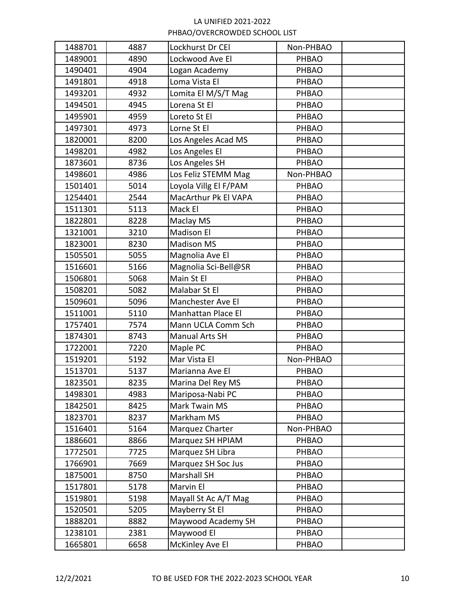| 1488701 | 4887 | Lockhurst Dr CEI      | Non-PHBAO    |  |
|---------|------|-----------------------|--------------|--|
| 1489001 | 4890 | Lockwood Ave El       | PHBAO        |  |
| 1490401 | 4904 | Logan Academy         | PHBAO        |  |
| 1491801 | 4918 | Loma Vista El         | PHBAO        |  |
| 1493201 | 4932 | Lomita El M/S/T Mag   | PHBAO        |  |
| 1494501 | 4945 | Lorena St El          | PHBAO        |  |
| 1495901 | 4959 | Loreto St El          | PHBAO        |  |
| 1497301 | 4973 | Lorne St El           | <b>PHBAO</b> |  |
| 1820001 | 8200 | Los Angeles Acad MS   | PHBAO        |  |
| 1498201 | 4982 | Los Angeles El        | PHBAO        |  |
| 1873601 | 8736 | Los Angeles SH        | <b>PHBAO</b> |  |
| 1498601 | 4986 | Los Feliz STEMM Mag   | Non-PHBAO    |  |
| 1501401 | 5014 | Loyola Villg El F/PAM | <b>PHBAO</b> |  |
| 1254401 | 2544 | MacArthur Pk El VAPA  | PHBAO        |  |
| 1511301 | 5113 | Mack El               | <b>PHBAO</b> |  |
| 1822801 | 8228 | Maclay MS             | PHBAO        |  |
| 1321001 | 3210 | <b>Madison El</b>     | PHBAO        |  |
| 1823001 | 8230 | <b>Madison MS</b>     | PHBAO        |  |
| 1505501 | 5055 | Magnolia Ave El       | PHBAO        |  |
| 1516601 | 5166 | Magnolia Sci-Bell@SR  | PHBAO        |  |
| 1506801 | 5068 | Main St El            | PHBAO        |  |
| 1508201 | 5082 | Malabar St El         | PHBAO        |  |
| 1509601 | 5096 | Manchester Ave El     | PHBAO        |  |
| 1511001 | 5110 | Manhattan Place El    | PHBAO        |  |
| 1757401 | 7574 | Mann UCLA Comm Sch    | PHBAO        |  |
| 1874301 | 8743 | Manual Arts SH        | PHBAO        |  |
| 1722001 | 7220 | Maple PC              | PHBAO        |  |
| 1519201 | 5192 | Mar Vista El          | Non-PHBAO    |  |
| 1513701 | 5137 | Marianna Ave El       | <b>PHBAO</b> |  |
| 1823501 | 8235 | Marina Del Rey MS     | PHBAO        |  |
| 1498301 | 4983 | Mariposa-Nabi PC      | PHBAO        |  |
| 1842501 | 8425 | Mark Twain MS         | <b>PHBAO</b> |  |
| 1823701 | 8237 | Markham MS            | PHBAO        |  |
| 1516401 | 5164 | Marquez Charter       | Non-PHBAO    |  |
| 1886601 | 8866 | Marquez SH HPIAM      | PHBAO        |  |
| 1772501 | 7725 | Marquez SH Libra      | <b>PHBAO</b> |  |
| 1766901 | 7669 | Marquez SH Soc Jus    | <b>PHBAO</b> |  |
| 1875001 | 8750 | <b>Marshall SH</b>    | PHBAO        |  |
| 1517801 | 5178 | Marvin El             | PHBAO        |  |
| 1519801 | 5198 | Mayall St Ac A/T Mag  | PHBAO        |  |
| 1520501 | 5205 | Mayberry St El        | PHBAO        |  |
| 1888201 | 8882 | Maywood Academy SH    | PHBAO        |  |
| 1238101 | 2381 | Maywood El            | <b>PHBAO</b> |  |
| 1665801 | 6658 | McKinley Ave El       | PHBAO        |  |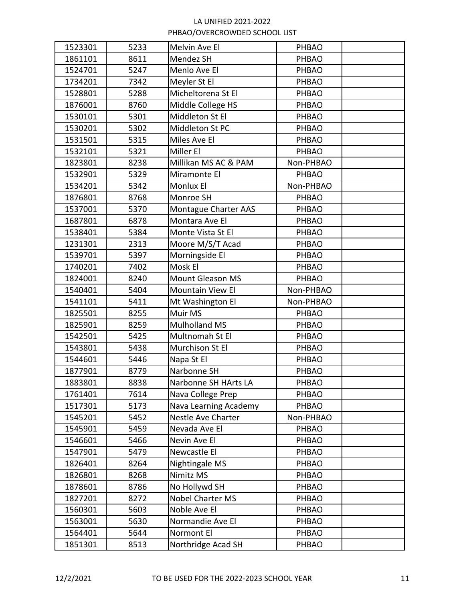| 1523301 | 5233 | Melvin Ave El           | PHBAO        |  |
|---------|------|-------------------------|--------------|--|
| 1861101 | 8611 | Mendez SH               | PHBAO        |  |
| 1524701 | 5247 | Menlo Ave El            | PHBAO        |  |
| 1734201 | 7342 | Meyler St El            | PHBAO        |  |
| 1528801 | 5288 | Micheltorena St El      | PHBAO        |  |
| 1876001 | 8760 | Middle College HS       | PHBAO        |  |
| 1530101 | 5301 | Middleton St El         | PHBAO        |  |
| 1530201 | 5302 | Middleton St PC         | PHBAO        |  |
| 1531501 | 5315 | Miles Ave El            | <b>PHBAO</b> |  |
| 1532101 | 5321 | Miller El               | PHBAO        |  |
| 1823801 | 8238 | Millikan MS AC & PAM    | Non-PHBAO    |  |
| 1532901 | 5329 | Miramonte El            | PHBAO        |  |
| 1534201 | 5342 | Monlux El               | Non-PHBAO    |  |
| 1876801 | 8768 | Monroe SH               | PHBAO        |  |
| 1537001 | 5370 | Montague Charter AAS    | PHBAO        |  |
| 1687801 | 6878 | Montara Ave El          | PHBAO        |  |
| 1538401 | 5384 | Monte Vista St El       | PHBAO        |  |
| 1231301 | 2313 | Moore M/S/T Acad        | PHBAO        |  |
| 1539701 | 5397 | Morningside El          | PHBAO        |  |
| 1740201 | 7402 | Mosk El                 | PHBAO        |  |
| 1824001 | 8240 | <b>Mount Gleason MS</b> | PHBAO        |  |
| 1540401 | 5404 | Mountain View El        | Non-PHBAO    |  |
| 1541101 | 5411 | Mt Washington El        | Non-PHBAO    |  |
| 1825501 | 8255 | Muir MS                 | PHBAO        |  |
| 1825901 | 8259 | <b>Mulholland MS</b>    | PHBAO        |  |
| 1542501 | 5425 | Multnomah St El         | PHBAO        |  |
| 1543801 | 5438 | Murchison St El         | PHBAO        |  |
| 1544601 | 5446 | Napa St El              | PHBAO        |  |
| 1877901 | 8779 | Narbonne SH             | PHBAO        |  |
| 1883801 | 8838 | Narbonne SH HArts LA    | PHBAO        |  |
| 1761401 | 7614 | Nava College Prep       | PHBAO        |  |
| 1517301 | 5173 | Nava Learning Academy   | <b>PHBAO</b> |  |
| 1545201 | 5452 | Nestle Ave Charter      | Non-PHBAO    |  |
| 1545901 | 5459 | Nevada Ave El           | PHBAO        |  |
| 1546601 | 5466 | Nevin Ave El            | PHBAO        |  |
| 1547901 | 5479 | Newcastle El            | PHBAO        |  |
| 1826401 | 8264 | Nightingale MS          | PHBAO        |  |
| 1826801 | 8268 | Nimitz MS               | PHBAO        |  |
| 1878601 | 8786 | No Hollywd SH           | PHBAO        |  |
| 1827201 | 8272 | <b>Nobel Charter MS</b> | PHBAO        |  |
| 1560301 | 5603 | Noble Ave El            | PHBAO        |  |
| 1563001 | 5630 | Normandie Ave El        | PHBAO        |  |
| 1564401 | 5644 | Normont El              | <b>PHBAO</b> |  |
| 1851301 | 8513 | Northridge Acad SH      | PHBAO        |  |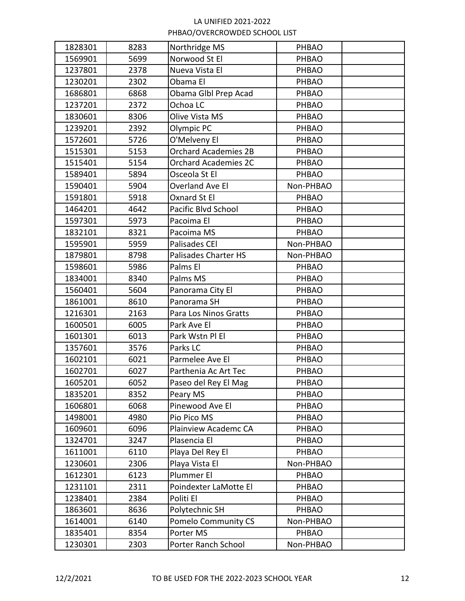| 1828301 | 8283 | Northridge MS               | PHBAO        |  |
|---------|------|-----------------------------|--------------|--|
| 1569901 | 5699 | Norwood St El               | PHBAO        |  |
| 1237801 | 2378 | Nueva Vista El              | PHBAO        |  |
| 1230201 | 2302 | Obama El                    | PHBAO        |  |
| 1686801 | 6868 | Obama Glbl Prep Acad        | PHBAO        |  |
| 1237201 | 2372 | Ochoa LC                    | PHBAO        |  |
| 1830601 | 8306 | Olive Vista MS              | PHBAO        |  |
| 1239201 | 2392 | Olympic PC                  | PHBAO        |  |
| 1572601 | 5726 | O'Melveny El                | PHBAO        |  |
| 1515301 | 5153 | <b>Orchard Academies 2B</b> | PHBAO        |  |
| 1515401 | 5154 | <b>Orchard Academies 2C</b> | PHBAO        |  |
| 1589401 | 5894 | Osceola St El               | PHBAO        |  |
| 1590401 | 5904 | Overland Ave El             | Non-PHBAO    |  |
| 1591801 | 5918 | Oxnard St El                | PHBAO        |  |
| 1464201 | 4642 | Pacific Blvd School         | PHBAO        |  |
| 1597301 | 5973 | Pacoima El                  | <b>PHBAO</b> |  |
| 1832101 | 8321 | Pacoima MS                  | PHBAO        |  |
| 1595901 | 5959 | <b>Palisades CEI</b>        | Non-PHBAO    |  |
| 1879801 | 8798 | <b>Palisades Charter HS</b> | Non-PHBAO    |  |
| 1598601 | 5986 | Palms El                    | PHBAO        |  |
| 1834001 | 8340 | Palms MS                    | PHBAO        |  |
| 1560401 | 5604 | Panorama City El            | PHBAO        |  |
| 1861001 | 8610 | Panorama SH                 | PHBAO        |  |
| 1216301 | 2163 | Para Los Ninos Gratts       | PHBAO        |  |
| 1600501 | 6005 | Park Ave El                 | PHBAO        |  |
| 1601301 | 6013 | Park Wstn Pl El             | PHBAO        |  |
| 1357601 | 3576 | Parks LC                    | PHBAO        |  |
| 1602101 | 6021 | Parmelee Ave El             | PHBAO        |  |
| 1602701 | 6027 | Parthenia Ac Art Tec        | <b>PHBAO</b> |  |
| 1605201 | 6052 | Paseo del Rey El Mag        | PHBAO        |  |
| 1835201 | 8352 | Peary MS                    | PHBAO        |  |
| 1606801 | 6068 | Pinewood Ave El             | PHBAO        |  |
| 1498001 | 4980 | Pio Pico MS                 | PHBAO        |  |
| 1609601 | 6096 | Plainview Academc CA        | PHBAO        |  |
| 1324701 | 3247 | Plasencia El                | PHBAO        |  |
| 1611001 | 6110 | Playa Del Rey El            | PHBAO        |  |
| 1230601 | 2306 | Playa Vista El              | Non-PHBAO    |  |
| 1612301 | 6123 | Plummer El                  | PHBAO        |  |
| 1231101 | 2311 | Poindexter LaMotte El       | PHBAO        |  |
| 1238401 | 2384 | Politi El                   | PHBAO        |  |
| 1863601 | 8636 | Polytechnic SH              | PHBAO        |  |
| 1614001 | 6140 | Pomelo Community CS         | Non-PHBAO    |  |
| 1835401 | 8354 | Porter MS                   | PHBAO        |  |
| 1230301 | 2303 | Porter Ranch School         | Non-PHBAO    |  |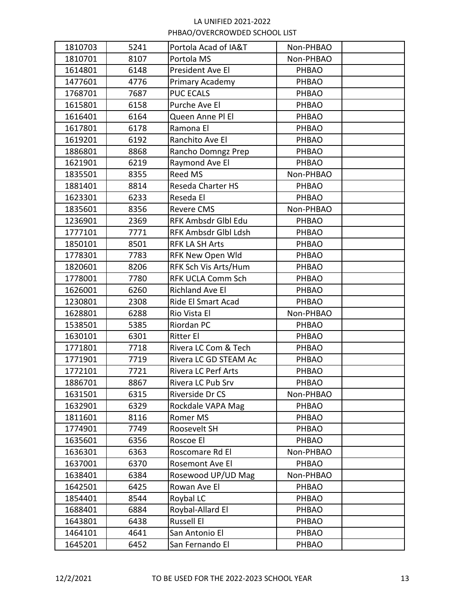| 1810703 | 5241 | Portola Acad of IA&T       | Non-PHBAO    |  |
|---------|------|----------------------------|--------------|--|
| 1810701 | 8107 | Portola MS                 | Non-PHBAO    |  |
| 1614801 | 6148 | President Ave El           | PHBAO        |  |
| 1477601 | 4776 | Primary Academy            | PHBAO        |  |
| 1768701 | 7687 | <b>PUC ECALS</b>           | PHBAO        |  |
| 1615801 | 6158 | Purche Ave El              | PHBAO        |  |
| 1616401 | 6164 | Queen Anne Pl El           | PHBAO        |  |
| 1617801 | 6178 | Ramona El                  | PHBAO        |  |
| 1619201 | 6192 | Ranchito Ave El            | PHBAO        |  |
| 1886801 | 8868 | Rancho Domngz Prep         | PHBAO        |  |
| 1621901 | 6219 | Raymond Ave El             | PHBAO        |  |
| 1835501 | 8355 | <b>Reed MS</b>             | Non-PHBAO    |  |
| 1881401 | 8814 | Reseda Charter HS          | PHBAO        |  |
| 1623301 | 6233 | Reseda El                  | PHBAO        |  |
| 1835601 | 8356 | <b>Revere CMS</b>          | Non-PHBAO    |  |
| 1236901 | 2369 | RFK Ambsdr Glbl Edu        | PHBAO        |  |
| 1777101 | 7771 | RFK Ambsdr Glbl Ldsh       | PHBAO        |  |
| 1850101 | 8501 | <b>RFK LA SH Arts</b>      | PHBAO        |  |
| 1778301 | 7783 | RFK New Open Wld           | PHBAO        |  |
| 1820601 | 8206 | RFK Sch Vis Arts/Hum       | PHBAO        |  |
| 1778001 | 7780 | <b>RFK UCLA Comm Sch</b>   | PHBAO        |  |
| 1626001 | 6260 | <b>Richland Ave El</b>     | PHBAO        |  |
| 1230801 | 2308 | Ride El Smart Acad         | PHBAO        |  |
| 1628801 | 6288 | Rio Vista El               | Non-PHBAO    |  |
| 1538501 | 5385 | Riordan PC                 | PHBAO        |  |
| 1630101 | 6301 | <b>Ritter El</b>           | PHBAO        |  |
| 1771801 | 7718 | Rivera LC Com & Tech       | PHBAO        |  |
| 1771901 | 7719 | Rivera LC GD STEAM Ac      | PHBAO        |  |
| 1772101 | 7721 | <b>Rivera LC Perf Arts</b> | PHBAO        |  |
| 1886701 | 8867 | Rivera LC Pub Srv          | PHBAO        |  |
| 1631501 | 6315 | Riverside Dr CS            | Non-PHBAO    |  |
| 1632901 | 6329 | Rockdale VAPA Mag          | <b>PHBAO</b> |  |
| 1811601 | 8116 | Romer MS                   | PHBAO        |  |
| 1774901 | 7749 | Roosevelt SH               | <b>PHBAO</b> |  |
| 1635601 | 6356 | Roscoe El                  | PHBAO        |  |
| 1636301 | 6363 | Roscomare Rd El            | Non-PHBAO    |  |
| 1637001 | 6370 | Rosemont Ave El            | PHBAO        |  |
| 1638401 | 6384 | Rosewood UP/UD Mag         | Non-PHBAO    |  |
| 1642501 | 6425 | Rowan Ave El               | PHBAO        |  |
| 1854401 | 8544 | Roybal LC                  | PHBAO        |  |
| 1688401 | 6884 | Roybal-Allard El           | <b>PHBAO</b> |  |
| 1643801 | 6438 | <b>Russell El</b>          | <b>PHBAO</b> |  |
| 1464101 | 4641 | San Antonio El             | <b>PHBAO</b> |  |
| 1645201 | 6452 | San Fernando El            | PHBAO        |  |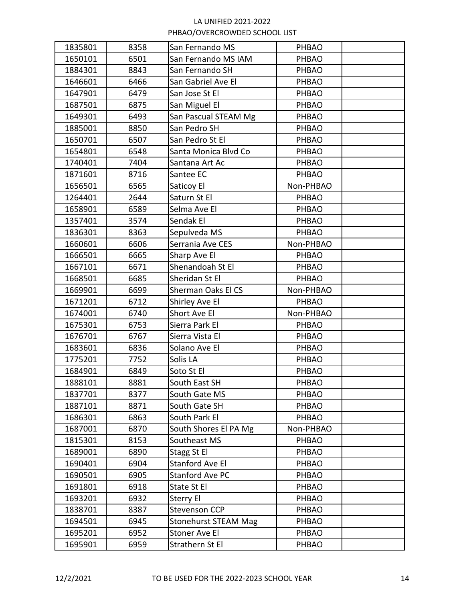| 1835801 | 8358 | San Fernando MS             | PHBAO        |  |
|---------|------|-----------------------------|--------------|--|
| 1650101 | 6501 | San Fernando MS IAM         | PHBAO        |  |
| 1884301 | 8843 | San Fernando SH             | PHBAO        |  |
| 1646601 | 6466 | San Gabriel Ave El          | PHBAO        |  |
| 1647901 | 6479 | San Jose St El              | PHBAO        |  |
| 1687501 | 6875 | San Miguel El               | PHBAO        |  |
| 1649301 | 6493 | San Pascual STEAM Mg        | PHBAO        |  |
| 1885001 | 8850 | San Pedro SH                | PHBAO        |  |
| 1650701 | 6507 | San Pedro St El             | PHBAO        |  |
| 1654801 | 6548 | Santa Monica Blvd Co        | PHBAO        |  |
| 1740401 | 7404 | Santana Art Ac              | PHBAO        |  |
| 1871601 | 8716 | Santee EC                   | PHBAO        |  |
| 1656501 | 6565 | Saticoy El                  | Non-PHBAO    |  |
| 1264401 | 2644 | Saturn St El                | PHBAO        |  |
| 1658901 | 6589 | Selma Ave El                | PHBAO        |  |
| 1357401 | 3574 | Sendak El                   | <b>PHBAO</b> |  |
| 1836301 | 8363 | Sepulveda MS                | <b>PHBAO</b> |  |
| 1660601 | 6606 | Serrania Ave CES            | Non-PHBAO    |  |
| 1666501 | 6665 | Sharp Ave El                | PHBAO        |  |
| 1667101 | 6671 | Shenandoah St El            | PHBAO        |  |
| 1668501 | 6685 | Sheridan St El              | PHBAO        |  |
| 1669901 | 6699 | Sherman Oaks El CS          | Non-PHBAO    |  |
| 1671201 | 6712 | Shirley Ave El              | <b>PHBAO</b> |  |
| 1674001 | 6740 | Short Ave El                | Non-PHBAO    |  |
| 1675301 | 6753 | Sierra Park El              | <b>PHBAO</b> |  |
| 1676701 | 6767 | Sierra Vista El             | PHBAO        |  |
| 1683601 | 6836 | Solano Ave El               | PHBAO        |  |
| 1775201 | 7752 | Solis LA                    | PHBAO        |  |
| 1684901 | 6849 | Soto St El                  | PHBAO        |  |
| 1888101 | 8881 | South East SH               | PHBAO        |  |
| 1837701 | 8377 | South Gate MS               | PHBAO        |  |
| 1887101 | 8871 | South Gate SH               | PHBAO        |  |
| 1686301 | 6863 | South Park El               | PHBAO        |  |
| 1687001 | 6870 | South Shores El PA Mg       | Non-PHBAO    |  |
| 1815301 | 8153 | Southeast MS                | PHBAO        |  |
| 1689001 | 6890 | Stagg St El                 | PHBAO        |  |
| 1690401 | 6904 | <b>Stanford Ave El</b>      | PHBAO        |  |
| 1690501 | 6905 | <b>Stanford Ave PC</b>      | PHBAO        |  |
| 1691801 | 6918 | State St El                 | PHBAO        |  |
| 1693201 | 6932 | Sterry El                   | PHBAO        |  |
| 1838701 | 8387 | <b>Stevenson CCP</b>        | PHBAO        |  |
| 1694501 | 6945 | <b>Stonehurst STEAM Mag</b> | PHBAO        |  |
| 1695201 | 6952 | Stoner Ave El               | <b>PHBAO</b> |  |
| 1695901 | 6959 | Strathern St El             | PHBAO        |  |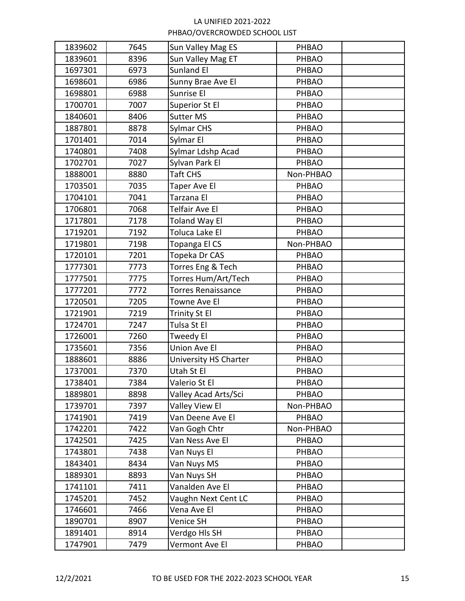| 1839602 | 7645 | Sun Valley Mag ES         | PHBAO        |  |
|---------|------|---------------------------|--------------|--|
| 1839601 | 8396 | Sun Valley Mag ET         | PHBAO        |  |
| 1697301 | 6973 | Sunland El                | PHBAO        |  |
| 1698601 | 6986 | Sunny Brae Ave El         | PHBAO        |  |
| 1698801 | 6988 | Sunrise El                | PHBAO        |  |
| 1700701 | 7007 | Superior St El            | PHBAO        |  |
| 1840601 | 8406 | <b>Sutter MS</b>          | PHBAO        |  |
| 1887801 | 8878 | Sylmar CHS                | PHBAO        |  |
| 1701401 | 7014 | Sylmar El                 | PHBAO        |  |
| 1740801 | 7408 | Sylmar Ldshp Acad         | PHBAO        |  |
| 1702701 | 7027 | Sylvan Park El            | PHBAO        |  |
| 1888001 | 8880 | Taft CHS                  | Non-PHBAO    |  |
| 1703501 | 7035 | Taper Ave El              | PHBAO        |  |
| 1704101 | 7041 | Tarzana El                | PHBAO        |  |
| 1706801 | 7068 | Telfair Ave El            | PHBAO        |  |
| 1717801 | 7178 | Toland Way El             | PHBAO        |  |
| 1719201 | 7192 | Toluca Lake El            | PHBAO        |  |
| 1719801 | 7198 | Topanga El CS             | Non-PHBAO    |  |
| 1720101 | 7201 | Topeka Dr CAS             | PHBAO        |  |
| 1777301 | 7773 | Torres Eng & Tech         | PHBAO        |  |
| 1777501 | 7775 | Torres Hum/Art/Tech       | PHBAO        |  |
| 1777201 | 7772 | <b>Torres Renaissance</b> | PHBAO        |  |
| 1720501 | 7205 | Towne Ave El              | PHBAO        |  |
| 1721901 | 7219 | Trinity St El             | PHBAO        |  |
| 1724701 | 7247 | Tulsa St El               | PHBAO        |  |
| 1726001 | 7260 | Tweedy El                 | PHBAO        |  |
| 1735601 | 7356 | Union Ave El              | PHBAO        |  |
| 1888601 | 8886 | University HS Charter     | PHBAO        |  |
| 1737001 | 7370 | Utah St El                | PHBAO        |  |
| 1738401 | 7384 | Valerio St El             | PHBAO        |  |
| 1889801 | 8898 | Valley Acad Arts/Sci      | PHBAO        |  |
| 1739701 | 7397 | Valley View El            | Non-PHBAO    |  |
| 1741901 | 7419 | Van Deene Ave El          | PHBAO        |  |
| 1742201 | 7422 | Van Gogh Chtr             | Non-PHBAO    |  |
| 1742501 | 7425 | Van Ness Ave El           | PHBAO        |  |
| 1743801 | 7438 | Van Nuys El               | PHBAO        |  |
| 1843401 | 8434 | Van Nuys MS               | <b>PHBAO</b> |  |
| 1889301 | 8893 | Van Nuys SH               | PHBAO        |  |
| 1741101 | 7411 | Vanalden Ave El           | PHBAO        |  |
| 1745201 | 7452 | Vaughn Next Cent LC       | <b>PHBAO</b> |  |
| 1746601 | 7466 | Vena Ave El               | PHBAO        |  |
| 1890701 | 8907 | Venice SH                 | PHBAO        |  |
| 1891401 | 8914 | Verdgo Hls SH             | <b>PHBAO</b> |  |
| 1747901 | 7479 | Vermont Ave El            | PHBAO        |  |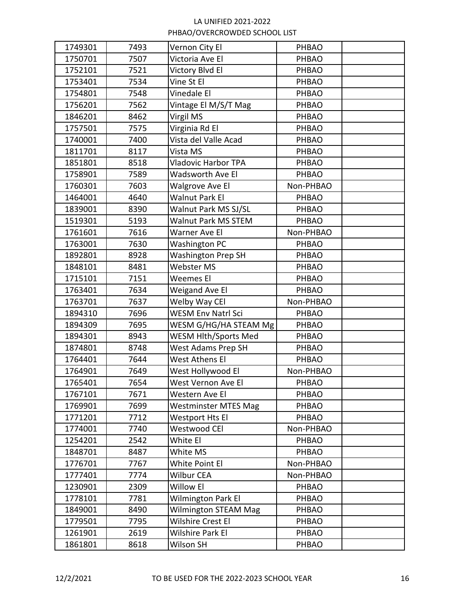| 1749301 | 7493 | Vernon City El              | PHBAO        |  |
|---------|------|-----------------------------|--------------|--|
| 1750701 | 7507 | Victoria Ave El             | PHBAO        |  |
| 1752101 | 7521 | Victory Blvd El             | PHBAO        |  |
| 1753401 | 7534 | Vine St El                  | PHBAO        |  |
| 1754801 | 7548 | Vinedale El                 | PHBAO        |  |
| 1756201 | 7562 | Vintage El M/S/T Mag        | PHBAO        |  |
| 1846201 | 8462 | Virgil MS                   | PHBAO        |  |
| 1757501 | 7575 | Virginia Rd El              | PHBAO        |  |
| 1740001 | 7400 | Vista del Valle Acad        | PHBAO        |  |
| 1811701 | 8117 | Vista MS                    | PHBAO        |  |
| 1851801 | 8518 | <b>Vladovic Harbor TPA</b>  | PHBAO        |  |
| 1758901 | 7589 | Wadsworth Ave El            | PHBAO        |  |
| 1760301 | 7603 | Walgrove Ave El             | Non-PHBAO    |  |
| 1464001 | 4640 | Walnut Park El              | PHBAO        |  |
| 1839001 | 8390 | Walnut Park MS SJ/SL        | PHBAO        |  |
| 1519301 | 5193 | Walnut Park MS STEM         | PHBAO        |  |
| 1761601 | 7616 | Warner Ave El               | Non-PHBAO    |  |
| 1763001 | 7630 | Washington PC               | PHBAO        |  |
| 1892801 | 8928 | <b>Washington Prep SH</b>   | PHBAO        |  |
| 1848101 | 8481 | Webster MS                  | PHBAO        |  |
| 1715101 | 7151 | Weemes El                   | PHBAO        |  |
| 1763401 | 7634 | Weigand Ave El              | PHBAO        |  |
| 1763701 | 7637 | Welby Way CEI               | Non-PHBAO    |  |
| 1894310 | 7696 | <b>WESM Env Natrl Sci</b>   | PHBAO        |  |
| 1894309 | 7695 | WESM G/HG/HA STEAM Mg       | PHBAO        |  |
| 1894301 | 8943 | WESM Hlth/Sports Med        | PHBAO        |  |
| 1874801 | 8748 | West Adams Prep SH          | PHBAO        |  |
| 1764401 | 7644 | West Athens El              | PHBAO        |  |
| 1764901 | 7649 | West Hollywood El           | Non-PHBAO    |  |
| 1765401 | 7654 | West Vernon Ave El          | PHBAO        |  |
| 1767101 | 7671 | Western Ave El              | PHBAO        |  |
| 1769901 | 7699 | <b>Westminster MTES Mag</b> | <b>PHBAO</b> |  |
| 1771201 | 7712 | Westport Hts El             | PHBAO        |  |
| 1774001 | 7740 | Westwood CEI                | Non-PHBAO    |  |
| 1254201 | 2542 | White El                    | PHBAO        |  |
| 1848701 | 8487 | White MS                    | <b>PHBAO</b> |  |
| 1776701 | 7767 | White Point El              | Non-PHBAO    |  |
| 1777401 | 7774 | Wilbur CEA                  | Non-PHBAO    |  |
| 1230901 | 2309 | Willow El                   | PHBAO        |  |
| 1778101 | 7781 | Wilmington Park El          | PHBAO        |  |
| 1849001 | 8490 | Wilmington STEAM Mag        | PHBAO        |  |
| 1779501 | 7795 | Wilshire Crest El           | PHBAO        |  |
| 1261901 | 2619 | Wilshire Park El            | <b>PHBAO</b> |  |
| 1861801 | 8618 | Wilson SH                   | PHBAO        |  |